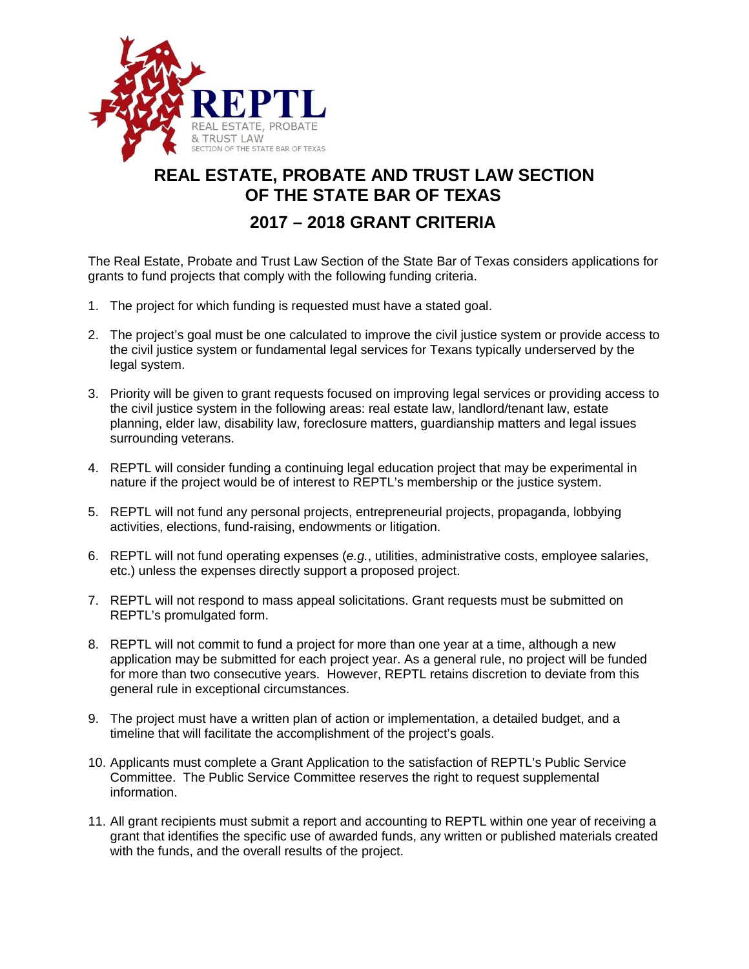

## **REAL ESTATE, PROBATE AND TRUST LAW SECTION OF THE STATE BAR OF TEXAS**

## **2017 – 2018 GRANT CRITERIA**

The Real Estate, Probate and Trust Law Section of the State Bar of Texas considers applications for grants to fund projects that comply with the following funding criteria.

- 1. The project for which funding is requested must have a stated goal.
- 2. The project's goal must be one calculated to improve the civil justice system or provide access to the civil justice system or fundamental legal services for Texans typically underserved by the legal system.
- 3. Priority will be given to grant requests focused on improving legal services or providing access to the civil justice system in the following areas: real estate law, landlord/tenant law, estate planning, elder law, disability law, foreclosure matters, guardianship matters and legal issues surrounding veterans.
- 4. REPTL will consider funding a continuing legal education project that may be experimental in nature if the project would be of interest to REPTL's membership or the justice system.
- 5. REPTL will not fund any personal projects, entrepreneurial projects, propaganda, lobbying activities, elections, fund-raising, endowments or litigation.
- 6. REPTL will not fund operating expenses (*e.g.*, utilities, administrative costs, employee salaries, etc.) unless the expenses directly support a proposed project.
- 7. REPTL will not respond to mass appeal solicitations. Grant requests must be submitted on REPTL's promulgated form.
- 8. REPTL will not commit to fund a project for more than one year at a time, although a new application may be submitted for each project year. As a general rule, no project will be funded for more than two consecutive years. However, REPTL retains discretion to deviate from this general rule in exceptional circumstances.
- 9. The project must have a written plan of action or implementation, a detailed budget, and a timeline that will facilitate the accomplishment of the project's goals.
- 10. Applicants must complete a Grant Application to the satisfaction of REPTL's Public Service Committee. The Public Service Committee reserves the right to request supplemental information.
- 11. All grant recipients must submit a report and accounting to REPTL within one year of receiving a grant that identifies the specific use of awarded funds, any written or published materials created with the funds, and the overall results of the project.